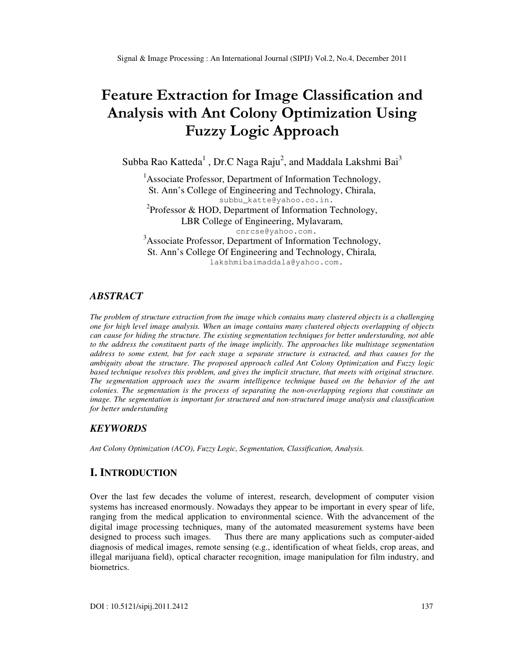# Feature Extraction for Image Classification and Analysis with Ant Colony Optimization Using Fuzzy Logic Approach

Subba Rao Katteda $^1$  , Dr.C Naga Raju $^2$ , and Maddala Lakshmi Bai $^3$ 

 $<sup>1</sup>$ Associate Professor, Department of Information Technology,</sup> St. Ann's College of Engineering and Technology, Chirala, subbu\_katte@yahoo.co.in. <sup>2</sup>Professor & HOD, Department of Information Technology, LBR College of Engineering, Mylavaram, cnrcse@yahoo.com.  $3A$ ssociate Professor, Department of Information Technology, St. Ann's College Of Engineering and Technology, Chirala*,*  lakshmibaimaddala@yahoo.com.

## *ABSTRACT*

*The problem of structure extraction from the image which contains many clustered objects is a challenging one for high level image analysis. When an image contains many clustered objects overlapping of objects can cause for hiding the structure. The existing segmentation techniques for better understanding, not able to the address the constituent parts of the image implicitly. The approaches like multistage segmentation address to some extent, but for each stage a separate structure is extracted, and thus causes for the ambiguity about the structure. The proposed approach called Ant Colony Optimization and Fuzzy logic based technique resolves this problem, and gives the implicit structure, that meets with original structure. The segmentation approach uses the swarm intelligence technique based on the behavior of the ant colonies. The segmentation is the process of separating the non-overlapping regions that constitute an image. The segmentation is important for structured and non-structured image analysis and classification for better understanding* 

## *KEYWORDS*

*Ant Colony Optimization (ACO), Fuzzy Logic, Segmentation, Classification, Analysis.* 

# **I. INTRODUCTION**

Over the last few decades the volume of interest, research, development of computer vision systems has increased enormously. Nowadays they appear to be important in every spear of life, ranging from the medical application to environmental science. With the advancement of the digital image processing techniques, many of the automated measurement systems have been designed to process such images. Thus there are many applications such as computer-aided diagnosis of medical images, remote sensing (e.g., identification of wheat fields, crop areas, and illegal marijuana field), optical character recognition, image manipulation for film industry, and biometrics.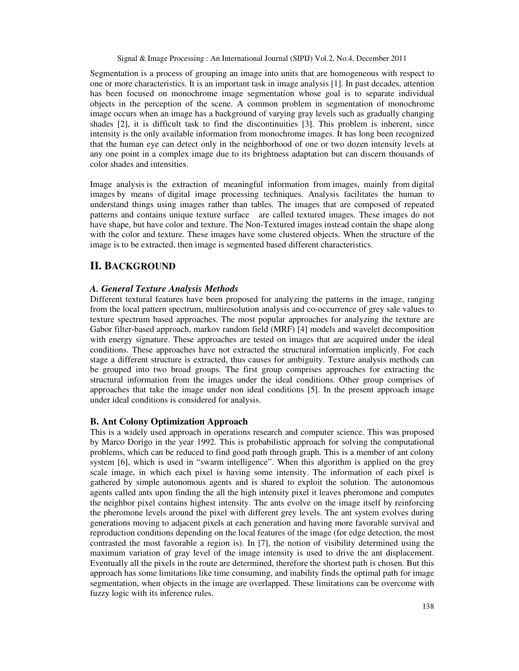Segmentation is a process of grouping an image into units that are homogeneous with respect to one or more characteristics. It is an important task in image analysis [1]. In past decades, attention has been focused on monochrome image segmentation whose goal is to separate individual objects in the perception of the scene. A common problem in segmentation of monochrome image occurs when an image has a background of varying gray levels such as gradually changing shades [2], it is difficult task to find the discontinuities [3]. This problem is inherent, since intensity is the only available information from monochrome images. It has long been recognized that the human eye can detect only in the neighborhood of one or two dozen intensity levels at any one point in a complex image due to its brightness adaptation but can discern thousands of color shades and intensities.

Image analysis is the extraction of meaningful information from images, mainly from digital images by means of digital image processing techniques. Analysis facilitates the human to understand things using images rather than tables. The images that are composed of repeated patterns and contains unique texture surface are called textured images. These images do not have shape, but have color and texture. The Non-Textured images instead contain the shape along with the color and texture. These images have some clustered objects. When the structure of the image is to be extracted, then image is segmented based different characteristics.

# **II. BACKGROUND**

#### *A. General Texture Analysis Methods*

Different textural features have been proposed for analyzing the patterns in the image, ranging from the local pattern spectrum, multiresolution analysis and co-occurrence of grey sale values to texture spectrum based approaches. The most popular approaches for analyzing the texture are Gabor filter-based approach, markov random field (MRF) [4] models and wavelet decomposition with energy signature. These approaches are tested on images that are acquired under the ideal conditions. These approaches have not extracted the structural information implicitly. For each stage a different structure is extracted, thus causes for ambiguity. Texture analysis methods can be grouped into two broad groups. The first group comprises approaches for extracting the structural information from the images under the ideal conditions. Other group comprises of approaches that take the image under non ideal conditions [5]. In the present approach image under ideal conditions is considered for analysis.

#### **B. Ant Colony Optimization Approach**

This is a widely used approach in operations research and computer science. This was proposed by Marco Dorigo in the year 1992. This is probabilistic approach for solving the computational problems, which can be reduced to find good path through graph. This is a member of ant colony system [6], which is used in "swarm intelligence". When this algorithm is applied on the grey scale image, in which each pixel is having some intensity. The information of each pixel is gathered by simple autonomous agents and is shared to exploit the solution. The autonomous agents called ants upon finding the all the high intensity pixel it leaves pheromone and computes the neighbor pixel contains highest intensity. The ants evolve on the image itself by reinforcing the pheromone levels around the pixel with different grey levels. The ant system evolves during generations moving to adjacent pixels at each generation and having more favorable survival and reproduction conditions depending on the local features of the image (for edge detection, the most contrasted the most favorable a region is). In [7], the notion of visibility determined using the maximum variation of gray level of the image intensity is used to drive the ant displacement. Eventually all the pixels in the route are determined, therefore the shortest path is chosen. But this approach has some limitations like time consuming, and inability finds the optimal path for image segmentation, when objects in the image are overlapped. These limitations can be overcome with fuzzy logic with its inference rules.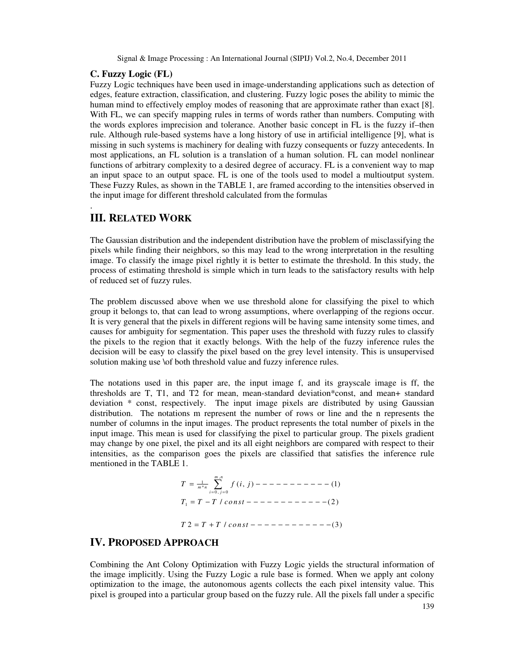#### **C. Fuzzy Logic (FL)**

Fuzzy Logic techniques have been used in image-understanding applications such as detection of edges, feature extraction, classification, and clustering. Fuzzy logic poses the ability to mimic the human mind to effectively employ modes of reasoning that are approximate rather than exact [8]. With FL, we can specify mapping rules in terms of words rather than numbers. Computing with the words explores imprecision and tolerance. Another basic concept in FL is the fuzzy if–then rule. Although rule-based systems have a long history of use in artificial intelligence [9], what is missing in such systems is machinery for dealing with fuzzy consequents or fuzzy antecedents. In most applications, an FL solution is a translation of a human solution. FL can model nonlinear functions of arbitrary complexity to a desired degree of accuracy. FL is a convenient way to map an input space to an output space. FL is one of the tools used to model a multioutput system. These Fuzzy Rules, as shown in the TABLE 1, are framed according to the intensities observed in the input image for different threshold calculated from the formulas

# **III. RELATED WORK**

.

The Gaussian distribution and the independent distribution have the problem of misclassifying the pixels while finding their neighbors, so this may lead to the wrong interpretation in the resulting image. To classify the image pixel rightly it is better to estimate the threshold. In this study, the process of estimating threshold is simple which in turn leads to the satisfactory results with help of reduced set of fuzzy rules.

The problem discussed above when we use threshold alone for classifying the pixel to which group it belongs to, that can lead to wrong assumptions, where overlapping of the regions occur. It is very general that the pixels in different regions will be having same intensity some times, and causes for ambiguity for segmentation. This paper uses the threshold with fuzzy rules to classify the pixels to the region that it exactly belongs. With the help of the fuzzy inference rules the decision will be easy to classify the pixel based on the grey level intensity. This is unsupervised solution making use \of both threshold value and fuzzy inference rules.

The notations used in this paper are, the input image f, and its grayscale image is ff, the thresholds are T, T1, and T2 for mean, mean-standard deviation\*const, and mean+ standard deviation \* const, respectively. The input image pixels are distributed by using Gaussian distribution. The notations m represent the number of rows or line and the n represents the number of columns in the input images. The product represents the total number of pixels in the input image. This mean is used for classifying the pixel to particular group. The pixels gradient may change by one pixel, the pixel and its all eight neighbors are compared with respect to their intensities, as the comparison goes the pixels are classified that satisfies the inference rule mentioned in the TABLE 1.

, 1 \* 0 , 0 1 ( , ) (1) / (2 ) 2 / (3) *T T T co n st* = + − − − − − − − − − − − − *m n m n i j T f i j T T T co n st* = = = − − − − − − − − − − − = − − − − − − − − − − − − − ∑

## **IV. PROPOSED APPROACH**

Combining the Ant Colony Optimization with Fuzzy Logic yields the structural information of the image implicitly. Using the Fuzzy Logic a rule base is formed. When we apply ant colony optimization to the image, the autonomous agents collects the each pixel intensity value. This pixel is grouped into a particular group based on the fuzzy rule. All the pixels fall under a specific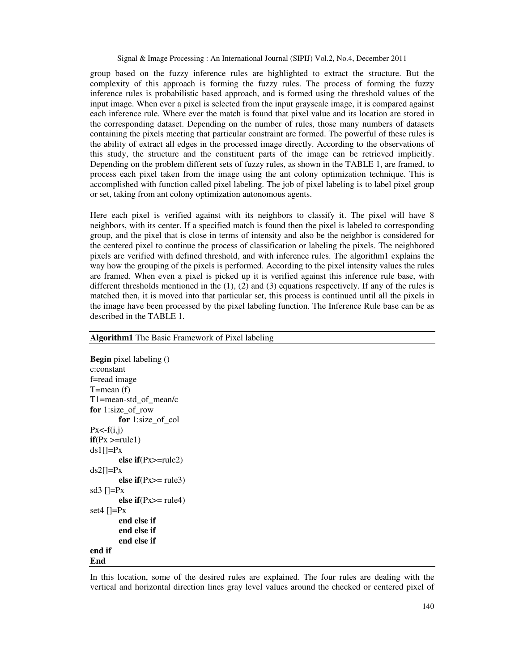group based on the fuzzy inference rules are highlighted to extract the structure. But the complexity of this approach is forming the fuzzy rules. The process of forming the fuzzy inference rules is probabilistic based approach, and is formed using the threshold values of the input image. When ever a pixel is selected from the input grayscale image, it is compared against each inference rule. Where ever the match is found that pixel value and its location are stored in the corresponding dataset. Depending on the number of rules, those many numbers of datasets containing the pixels meeting that particular constraint are formed. The powerful of these rules is the ability of extract all edges in the processed image directly. According to the observations of this study, the structure and the constituent parts of the image can be retrieved implicitly. Depending on the problem different sets of fuzzy rules, as shown in the TABLE 1, are framed, to process each pixel taken from the image using the ant colony optimization technique. This is accomplished with function called pixel labeling. The job of pixel labeling is to label pixel group or set, taking from ant colony optimization autonomous agents.

Here each pixel is verified against with its neighbors to classify it. The pixel will have 8 neighbors, with its center. If a specified match is found then the pixel is labeled to corresponding group, and the pixel that is close in terms of intensity and also be the neighbor is considered for the centered pixel to continue the process of classification or labeling the pixels. The neighbored pixels are verified with defined threshold, and with inference rules. The algorithm1 explains the way how the grouping of the pixels is performed. According to the pixel intensity values the rules are framed. When even a pixel is picked up it is verified against this inference rule base, with different thresholds mentioned in the  $(1)$ ,  $(2)$  and  $(3)$  equations respectively. If any of the rules is matched then, it is moved into that particular set, this process is continued until all the pixels in the image have been processed by the pixel labeling function. The Inference Rule base can be as described in the TABLE 1.

#### **Algorithm1** The Basic Framework of Pixel labeling

```
Begin pixel labeling () 
c:constant 
f=read image 
T=mean (f)T1=mean-std_of_mean/c 
for 1:size of row
       for 1:size_of_col 
Px < -f(i,j)if(Px >= rule1)ds1[]=Px
        else if(Px>=rule2) 
ds2[]=Pxelse if(Px>= rule3)sd3 []=Px
        else if(Px)= rule4set4 []=Px
       end else if 
       end else if 
        end else if 
end if
End
```
In this location, some of the desired rules are explained. The four rules are dealing with the vertical and horizontal direction lines gray level values around the checked or centered pixel of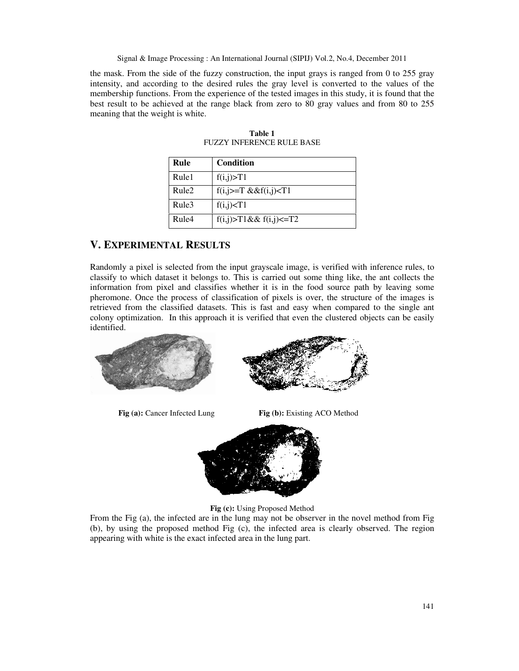the mask. From the side of the fuzzy construction, the input grays is ranged from 0 to 255 gray intensity, and according to the desired rules the gray level is converted to the values of the membership functions. From the experience of the tested images in this study, it is found that the best result to be achieved at the range black from zero to 80 gray values and from 80 to 255 meaning that the weight is white.

| Rule  | <b>Condition</b>                  |
|-------|-----------------------------------|
| Rule1 | f(i,j) > T1                       |
| Rule2 | $f(i,j)=T \&&f(i,j) < T1$         |
| Rule3 | f(i,j) < T1                       |
| Rule4 | $f(i,j) > T1 \& \& f(i,j) < = T2$ |

**Table 1** FUZZY INFERENCE RULE BASE

# **V. EXPERIMENTAL RESULTS**

Randomly a pixel is selected from the input grayscale image, is verified with inference rules, to classify to which dataset it belongs to. This is carried out some thing like, the ant collects the information from pixel and classifies whether it is in the food source path by leaving some pheromone. Once the process of classification of pixels is over, the structure of the images is retrieved from the classified datasets. This is fast and easy when compared to the single ant colony optimization. In this approach it is verified that even the clustered objects can be easily identified.





**Fig (a):** Cancer Infected Lung **Fig (b):** Existing ACO Method



**Fig (c):** Using Proposed Method

From the Fig (a), the infected are in the lung may not be observer in the novel method from Fig (b), by using the proposed method Fig (c), the infected area is clearly observed. The region appearing with white is the exact infected area in the lung part.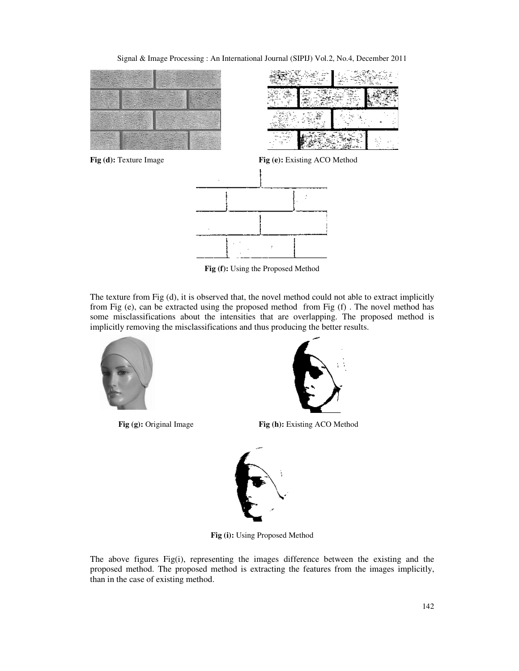Signal & Image Processing : An International Journal (SIPIJ) Vol.2, No.4, December 2011



ê

**Fig (d):** Texture Image **Fig (e):** Existing ACO Method



**Fig (f):** Using the Proposed Method

The texture from Fig (d), it is observed that, the novel method could not able to extract implicitly from Fig (e), can be extracted using the proposed method from Fig (f) . The novel method has some misclassifications about the intensities that are overlapping. The proposed method is implicitly removing the misclassifications and thus producing the better results.





**Fig (g):** Original Image **Fig (h):** Existing ACO Method



**Fig (i):** Using Proposed Method

The above figures Fig(i), representing the images difference between the existing and the proposed method. The proposed method is extracting the features from the images implicitly, than in the case of existing method.